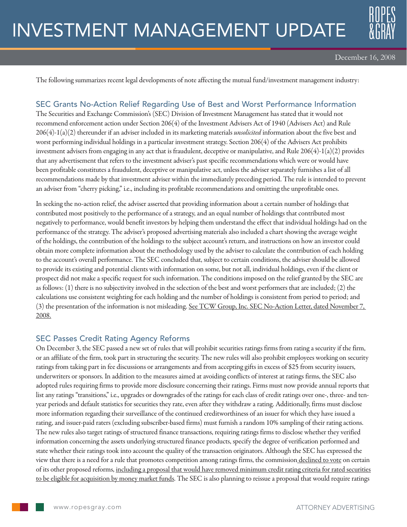# INVESTMENT MANAGEMENT UPDATE



The following summarizes recent legal developments of note affecting the mutual fund/investment management industry:

# SEC Grants No-Action Relief Regarding Use of Best and Worst Performance Information

The Securities and Exchange Commission's (SEC) Division of Investment Management has stated that it would not recommend enforcement action under Section 206(4) of the Investment Advisers Act of 1940 (Advisers Act) and Rule 206(4)-1(a)(2) thereunder if an adviser included in its marketing materials *unsolicited* information about the five best and worst performing individual holdings in a particular investment strategy. Section 206(4) of the Advisers Act prohibits investment advisers from engaging in any act that is fraudulent, deceptive or manipulative, and Rule  $206(4)$ -1(a)(2) provides that any advertisement that refers to the investment adviser's past specific recommendations which were or would have been profitable constitutes a fraudulent, deceptive or manipulative act, unless the adviser separately furnishes a list of all recommendations made by that investment adviser within the immediately preceding period. The rule is intended to prevent an adviser from "cherry picking," i.e., including its profitable recommendations and omitting the unprofitable ones.

In seeking the no-action relief, the adviser asserted that providing information about a certain number of holdings that contributed most positively to the performance of a strategy, and an equal number of holdings that contributed most negatively to performance, would benefit investors by helping them understand the effect that individual holdings had on the performance of the strategy. The adviser's proposed advertising materials also included a chart showing the average weight of the holdings, the contribution of the holdings to the subject account's return, and instructions on how an investor could obtain more complete information about the methodology used by the adviser to calculate the contribution of each holding to the account's overall performance. The SEC concluded that, subject to certain conditions, the adviser should be allowed to provide its existing and potential clients with information on some, but not all, individual holdings, even if the client or prospect did not make a specific request for such information. The conditions imposed on the relief granted by the SEC are as follows: (1) there is no subjectivity involved in the selection of the best and worst performers that are included; (2) the calculations use consistent weighting for each holding and the number of holdings is consistent from period to period; and (3) the presentation of the information is not misleading. See TCW Group, Inc. SEC No-Action Letter, dated November 7, 2008.

# SEC Passes Credit Rating Agency Reforms

On December 3, the SEC passed a new set of rules that will prohibit securities ratings firms from rating a security if the firm, or an affiliate of the firm, took part in structuring the security. The new rules will also prohibit employees working on security ratings from taking part in fee discussions or arrangements and from accepting gifts in excess of \$25 from security issuers, underwriters or sponsors. In addition to the measures aimed at avoiding conflicts of interest at ratings firms, the SEC also adopted rules requiring firms to provide more disclosure concerning their ratings. Firms must now provide annual reports that list any ratings "transitions," i.e., upgrades or downgrades of the ratings for each class of credit ratings over one-, three- and tenyear periods and default statistics for securities they rate, even after they withdraw a rating. Additionally, firms must disclose more information regarding their surveillance of the continued creditworthiness of an issuer for which they have issued a rating, and issuer-paid raters (excluding subscriber-based firms) must furnish a random 10% sampling of their rating actions. The new rules also target ratings of structured finance transactions, requiring ratings firms to disclose whether they verified information concerning the assets underlying structured finance products, specify the degree of verification performed and state whether their ratings took into account the quality of the transaction originators. Although the SEC has expressed the view that there is a need for a rule that promotes competition among ratings firms, the commission declined to vote on certain of its other proposed reforms, including a proposal that would have removed minimum credit rating criteria for rated securities to be eligible for acquisition by money market funds. The SEC is also planning to reissue a proposal that would require ratings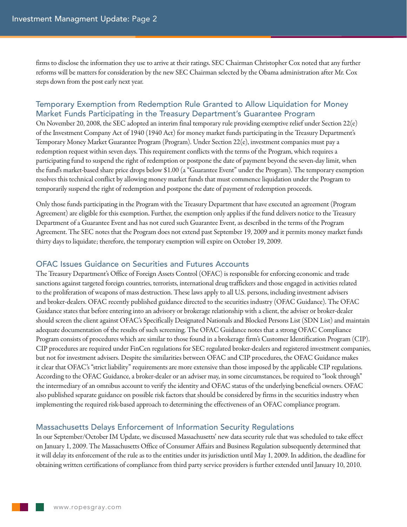firms to disclose the information they use to arrive at their ratings. SEC Chairman Christopher Cox noted that any further reforms will be matters for consideration by the new SEC Chairman selected by the Obama administration after Mr. Cox steps down from the post early next year.

## Temporary Exemption from Redemption Rule Granted to Allow Liquidation for Money Market Funds Participating in the Treasury Department's Guarantee Program

On November 20, 2008, the SEC adopted an interim final temporary rule providing exemptive relief under Section 22(e) of the Investment Company Act of 1940 (1940 Act) for money market funds participating in the Treasury Department's Temporary Money Market Guarantee Program (Program). Under Section 22(e), investment companies must pay a redemption request within seven days. This requirement conflicts with the terms of the Program, which requires a participating fund to suspend the right of redemption or postpone the date of payment beyond the seven-day limit, when the fund's market-based share price drops below \$1.00 (a "Guarantee Event" under the Program). The temporary exemption resolves this technical conflict by allowing money market funds that must commence liquidation under the Program to temporarily suspend the right of redemption and postpone the date of payment of redemption proceeds.

Only those funds participating in the Program with the Treasury Department that have executed an agreement (Program Agreement) are eligible for this exemption. Further, the exemption only applies if the fund delivers notice to the Treasury Department of a Guarantee Event and has not cured such Guarantee Event, as described in the terms of the Program Agreement. The SEC notes that the Program does not extend past September 19, 2009 and it permits money market funds thirty days to liquidate; therefore, the temporary exemption will expire on October 19, 2009.

### OFAC Issues Guidance on Securities and Futures Accounts

The Treasury Department's Office of Foreign Assets Control (OFAC) is responsible for enforcing economic and trade sanctions against targeted foreign countries, terrorists, international drug traffickers and those engaged in activities related to the proliferation of weapons of mass destruction. These laws apply to all U.S. persons, including investment advisers and broker-dealers. OFAC recently published guidance directed to the securities industry (OFAC Guidance). The OFAC Guidance states that before entering into an advisory or brokerage relationship with a client, the adviser or broker-dealer should screen the client against OFAC's Specifically Designated Nationals and Blocked Persons List (SDN List) and maintain adequate documentation of the results of such screening. The OFAC Guidance notes that a strong OFAC Compliance Program consists of procedures which are similar to those found in a brokerage firm's Customer Identification Program (CIP). CIP procedures are required under FinCen regulations for SEC regulated broker-dealers and registered investment companies, but not for investment advisers. Despite the similarities between OFAC and CIP procedures, the OFAC Guidance makes it clear that OFAC's "strict liability" requirements are more extensive than those imposed by the applicable CIP regulations. According to the OFAC Guidance, a broker-dealer or an adviser may, in some circumstances, be required to "look through" the intermediary of an omnibus account to verify the identity and OFAC status of the underlying beneficial owners. OFAC also published separate guidance on possible risk factors that should be considered by firms in the securities industry when implementing the required risk-based approach to determining the effectiveness of an OFAC compliance program.

# Massachusetts Delays Enforcement of Information Security Regulations

In our September/October IM Update, we discussed Massachusetts' new data security rule that was scheduled to take effect on January 1, 2009. The Massachusetts Office of Consumer Affairs and Business Regulation subsequently determined that it will delay its enforcement of the rule as to the entities under its jurisdiction until May 1, 2009. In addition, the deadline for obtaining written certifications of compliance from third party service providers is further extended until January 10, 2010.